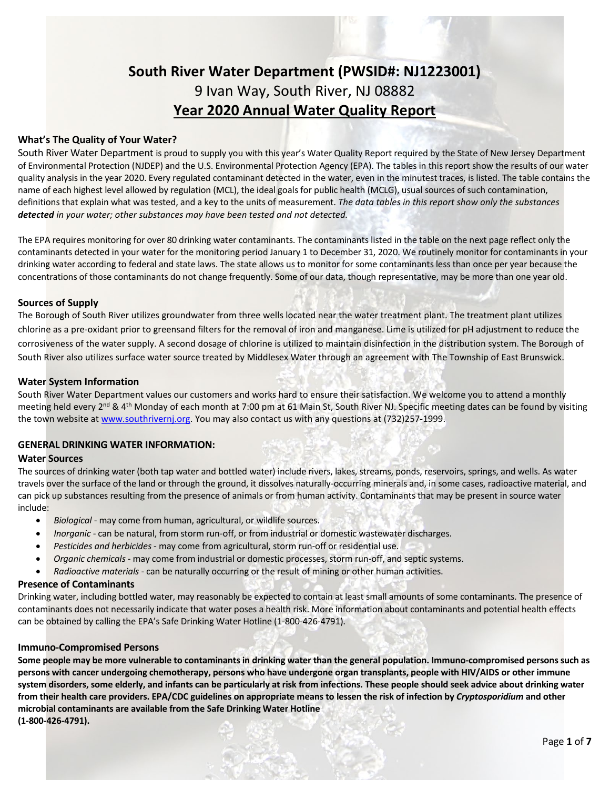# **South River Water Department (PWSID#: NJ1223001)** 9 Ivan Way, South River, NJ 08882 **Year 2020 Annual Water Quality Report**

### **What's The Quality of Your Water?**

South River Water Department is proud to supply you with this year's Water Quality Report required by the State of New Jersey Department of Environmental Protection (NJDEP) and the U.S. Environmental Protection Agency (EPA). The tables in this report show the results of our water quality analysis in the year 2020. Every regulated contaminant detected in the water, even in the minutest traces, is listed. The table contains the name of each highest level allowed by regulation (MCL), the ideal goals for public health (MCLG), usual sources of such contamination, definitions that explain what was tested, and a key to the units of measurement. *The data tables in this report show only the substances detected in your water; other substances may have been tested and not detected.*

The EPA requires monitoring for over 80 drinking water contaminants. The contaminants listed in the table on the next page reflect only the contaminants detected in your water for the monitoring period January 1 to December 31, 2020. We routinely monitor for contaminants in your drinking water according to federal and state laws. The state allows us to monitor for some contaminants less than once per year because the concentrations of those contaminants do not change frequently. Some of our data, though representative, may be more than one year old.

### **Sources of Supply**

The Borough of South River utilizes groundwater from three wells located near the water treatment plant. The treatment plant utilizes chlorine as a pre-oxidant prior to greensand filters for the removal of iron and manganese. Lime is utilized for pH adjustment to reduce the corrosiveness of the water supply. A second dosage of chlorine is utilized to maintain disinfection in the distribution system. The Borough of South River also utilizes surface water source treated by Middlesex Water through an agreement with The Township of East Brunswick.

### **Water System Information**

South River Water Department values our customers and works hard to ensure their satisfaction. We welcome you to attend a monthly meeting held every 2<sup>nd</sup> & 4<sup>th</sup> Monday of each month at 7:00 pm at 61 Main St, South River NJ. Specific meeting dates can be found by visiting the town website at [www.southrivernj.org.](http://www.southrivernj.org/) You may also contact us with any questions at (732)257-1999.

### **GENERAL DRINKING WATER INFORMATION:**

### **Water Sources**

The sources of drinking water (both tap water and bottled water) include rivers, lakes, streams, ponds, reservoirs, springs, and wells. As water travels over the surface of the land or through the ground, it dissolves naturally-occurring minerals and, in some cases, radioactive material, and can pick up substances resulting from the presence of animals or from human activity. Contaminants that may be present in source water include:

- *Biological* may come from human, agricultural, or wildlife sources.
- *Inorganic* can be natural, from storm run-off, or from industrial or domestic wastewater discharges.
- *Pesticides and herbicides* may come from agricultural, storm run-off or residential use.
- *Organic chemicals* may come from industrial or domestic processes, storm run-off, and septic systems.
- *Radioactive materials* can be naturally occurring or the result of mining or other human activities.

### **Presence of Contaminants**

Drinking water, including bottled water, may reasonably be expected to contain at least small amounts of some contaminants. The presence of contaminants does not necessarily indicate that water poses a health risk. More information about contaminants and potential health effects can be obtained by calling the EPA's Safe Drinking Water Hotline (1-800-426-4791).

#### **Immuno-Compromised Persons**

**Some people may be more vulnerable to contaminants in drinking water than the general population. Immuno-compromised persons such as persons with cancer undergoing chemotherapy, persons who have undergone organ transplants, people with HIV/AIDS or other immune system disorders, some elderly, and infants can be particularly at risk from infections. These people should seek advice about drinking water from their health care providers. EPA/CDC guidelines on appropriate means to lessen the risk of infection by** *Cryptosporidium* **and other microbial contaminants are available from the Safe Drinking Water Hotline (1-800-426-4791).**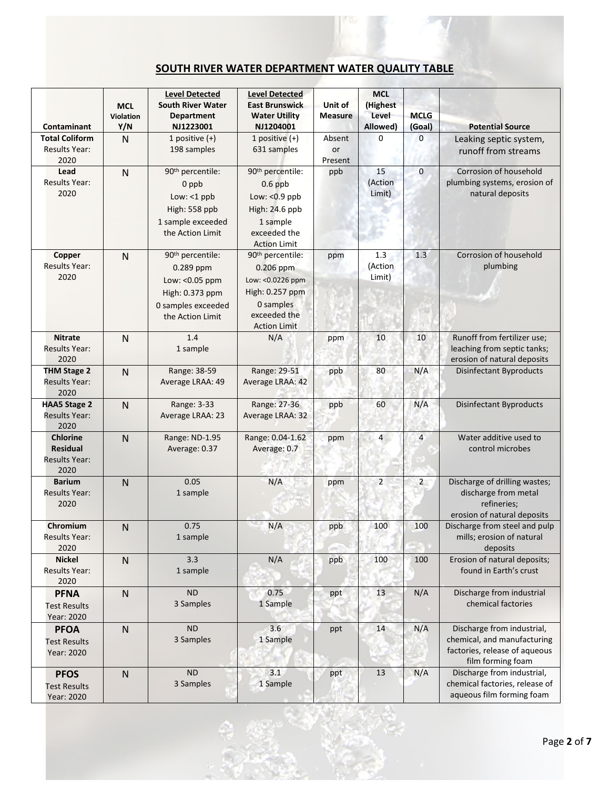# **SOUTH RIVER WATER DEPARTMENT WATER QUALITY TABLE**

| Contaminant                                                        | <b>MCL</b><br>Violation<br>Y/N | <b>Level Detected</b><br><b>South River Water</b><br><b>Department</b><br>NJ1223001                                       | <b>Level Detected</b><br><b>East Brunswick</b><br><b>Water Utility</b><br>NJ1204001                                                   | Unit of<br><b>Measure</b> | <b>MCL</b><br>(Highest<br>Level<br>Allowed) | <b>MCLG</b><br>(Goal) | <b>Potential Source</b>                                                                                         |  |  |  |  |  |
|--------------------------------------------------------------------|--------------------------------|---------------------------------------------------------------------------------------------------------------------------|---------------------------------------------------------------------------------------------------------------------------------------|---------------------------|---------------------------------------------|-----------------------|-----------------------------------------------------------------------------------------------------------------|--|--|--|--|--|
| <b>Total Coliform</b>                                              | $\mathsf{N}$                   | 1 positive $(+)$                                                                                                          | 1 positive $(+)$                                                                                                                      | Absent                    | 0                                           | 0                     | Leaking septic system,                                                                                          |  |  |  |  |  |
| <b>Results Year:</b><br>2020                                       |                                | 198 samples                                                                                                               | 631 samples                                                                                                                           | or<br>Present             |                                             |                       | runoff from streams                                                                                             |  |  |  |  |  |
| Lead<br><b>Results Year:</b><br>2020                               | $\mathsf{N}$                   | 90 <sup>th</sup> percentile:<br>0 ppb<br>Low: $<$ 1 ppb<br>High: 558 ppb<br>1 sample exceeded<br>the Action Limit         | 90 <sup>th</sup> percentile:<br>$0.6$ ppb<br>Low: $< 0.9$ ppb<br>High: 24.6 ppb<br>1 sample<br>exceeded the<br><b>Action Limit</b>    | ppb                       | 15<br>(Action<br>Limit)                     | $\mathbf 0$           | Corrosion of household<br>plumbing systems, erosion of<br>natural deposits                                      |  |  |  |  |  |
| Copper<br><b>Results Year:</b><br>2020                             | $\mathsf{N}$                   | 90 <sup>th</sup> percentile:<br>0.289 ppm<br>Low: < 0.05 ppm<br>High: 0.373 ppm<br>0 samples exceeded<br>the Action Limit | 90 <sup>th</sup> percentile:<br>0.206 ppm<br>Low: < 0.0226 ppm<br>High: 0.257 ppm<br>0 samples<br>exceeded the<br><b>Action Limit</b> | ppm                       | 1.3<br>(Action<br>Limit)                    | 1.3                   | Corrosion of household<br>plumbing                                                                              |  |  |  |  |  |
| <b>Nitrate</b><br><b>Results Year:</b><br>2020                     | $\mathsf{N}$                   | 1.4<br>1 sample                                                                                                           | N/A                                                                                                                                   | ppm                       | 10                                          | 10                    | Runoff from fertilizer use;<br>leaching from septic tanks;<br>erosion of natural deposits                       |  |  |  |  |  |
| <b>THM Stage 2</b><br><b>Results Year:</b><br>2020                 | $\overline{N}$                 | Range: 38-59<br>Average LRAA: 49                                                                                          | Range: 29-51<br>Average LRAA: 42                                                                                                      | ppb                       | 80                                          | N/A                   | <b>Disinfectant Byproducts</b>                                                                                  |  |  |  |  |  |
| <b>HAA5 Stage 2</b><br><b>Results Year:</b><br>2020                | $\mathsf{N}$                   | Range: 3-33<br>Average LRAA: 23                                                                                           | Range: 27-36<br>Average LRAA: 32                                                                                                      | ppb                       | 60                                          | N/A                   | <b>Disinfectant Byproducts</b>                                                                                  |  |  |  |  |  |
| <b>Chlorine</b><br><b>Residual</b><br><b>Results Year:</b><br>2020 | $\mathsf{N}$                   | Range: ND-1.95<br>Average: 0.37                                                                                           | Range: 0.04-1.62<br>Average: 0.7                                                                                                      | ppm                       | 4                                           | $\overline{4}$        | Water additive used to<br>control microbes                                                                      |  |  |  |  |  |
| <b>Barium</b><br>Results Year:<br>2020                             | $\mathsf{N}$                   | 0.05<br>1 sample                                                                                                          | N/A                                                                                                                                   | ppm                       | $\overline{2}$                              | $\overline{2}$        | Discharge of drilling wastes;<br>discharge from metal<br>refineries;<br>erosion of natural deposits             |  |  |  |  |  |
| Chromium<br><b>Results Year:</b><br>2020                           | $\mathsf{N}$                   | 0.75<br>1 sample                                                                                                          | N/A                                                                                                                                   | ppb                       | 100                                         | 100                   | Discharge from steel and pulp<br>mills; erosion of natural<br>deposits                                          |  |  |  |  |  |
| <b>Nickel</b><br>Results Year:<br>2020                             | $\mathsf{N}$                   | 3.3<br>1 sample                                                                                                           | N/A                                                                                                                                   | ppb                       | 100                                         | 100                   | Erosion of natural deposits;<br>found in Earth's crust                                                          |  |  |  |  |  |
| <b>PFNA</b><br><b>Test Results</b><br>Year: 2020                   | $\mathsf{N}$                   | <b>ND</b><br>3 Samples                                                                                                    | 0.75<br>1 Sample                                                                                                                      | ppt                       | 13                                          | N/A                   | Discharge from industrial<br>chemical factories                                                                 |  |  |  |  |  |
| <b>PFOA</b><br><b>Test Results</b><br>Year: 2020                   | $\mathsf{N}$                   | <b>ND</b><br>3 Samples                                                                                                    | 3.6<br>1 Sample                                                                                                                       | ppt                       | 14                                          | N/A                   | Discharge from industrial,<br>chemical, and manufacturing<br>factories, release of aqueous<br>film forming foam |  |  |  |  |  |
| <b>PFOS</b><br><b>Test Results</b><br>Year: 2020                   | ${\sf N}$                      | <b>ND</b><br>3 Samples                                                                                                    | 3.1<br>1 Sample                                                                                                                       | ppt                       | 13                                          | N/A                   | Discharge from industrial,<br>chemical factories, release of<br>aqueous film forming foam                       |  |  |  |  |  |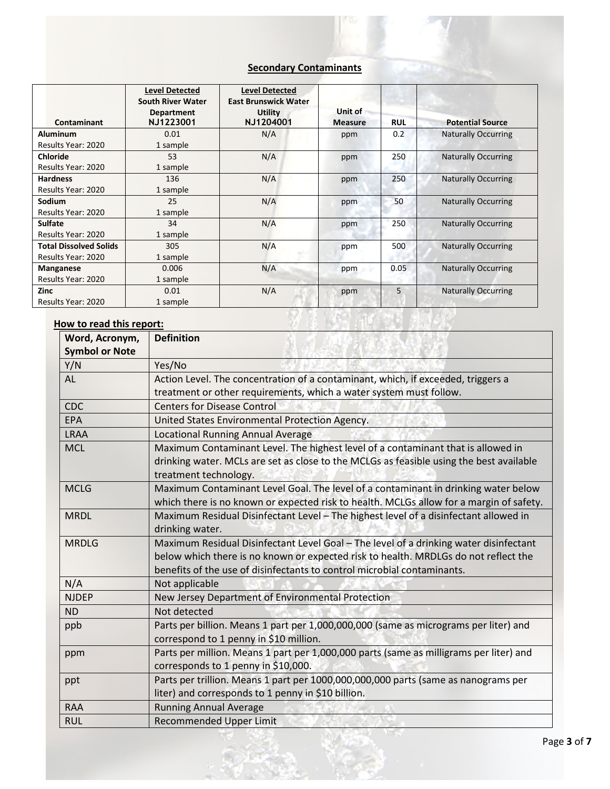# **Secondary Contaminants**

| Contaminant                   | <b>Level Detected</b><br><b>South River Water</b><br><b>Department</b><br>NJ1223001 | <b>Level Detected</b><br><b>East Brunswick Water</b><br><b>Utility</b><br>NJ1204001 | Unit of<br><b>Measure</b> | <b>RUL</b> | <b>Potential Source</b>    |
|-------------------------------|-------------------------------------------------------------------------------------|-------------------------------------------------------------------------------------|---------------------------|------------|----------------------------|
| <b>Aluminum</b>               | 0.01                                                                                | N/A                                                                                 | ppm                       | 0.2        | <b>Naturally Occurring</b> |
| Results Year: 2020            | 1 sample                                                                            |                                                                                     |                           |            |                            |
| <b>Chloride</b>               | 53                                                                                  | N/A                                                                                 | ppm                       | 250        | <b>Naturally Occurring</b> |
| Results Year: 2020            | 1 sample                                                                            |                                                                                     |                           |            |                            |
| <b>Hardness</b>               | 136                                                                                 | N/A                                                                                 | ppm                       | 250        | <b>Naturally Occurring</b> |
| Results Year: 2020            | 1 sample                                                                            |                                                                                     |                           |            |                            |
| Sodium                        | 25                                                                                  | N/A                                                                                 | ppm                       | 50         | <b>Naturally Occurring</b> |
| Results Year: 2020            | 1 sample                                                                            |                                                                                     |                           |            |                            |
| <b>Sulfate</b>                | 34                                                                                  | N/A                                                                                 | ppm                       | 250        | <b>Naturally Occurring</b> |
| Results Year: 2020            | 1 sample                                                                            |                                                                                     |                           |            |                            |
| <b>Total Dissolved Solids</b> | 305                                                                                 | N/A                                                                                 | ppm                       | 500        | <b>Naturally Occurring</b> |
| Results Year: 2020            | 1 sample                                                                            |                                                                                     |                           |            |                            |
| <b>Manganese</b>              | 0.006                                                                               | N/A                                                                                 | ppm                       | 0.05       | <b>Naturally Occurring</b> |
| Results Year: 2020            | 1 sample                                                                            |                                                                                     |                           |            |                            |
| <b>Zinc</b>                   | 0.01                                                                                | N/A                                                                                 | ppm                       | 5          | <b>Naturally Occurring</b> |
| Results Year: 2020            | 1 sample                                                                            |                                                                                     |                           |            |                            |

# **How to read this report:**

| Word, Acronym,        | <b>Definition</b>                                                                                                                                                                                                                                       |
|-----------------------|---------------------------------------------------------------------------------------------------------------------------------------------------------------------------------------------------------------------------------------------------------|
| <b>Symbol or Note</b> |                                                                                                                                                                                                                                                         |
| Y/N                   | Yes/No                                                                                                                                                                                                                                                  |
| AL                    | Action Level. The concentration of a contaminant, which, if exceeded, triggers a<br>treatment or other requirements, which a water system must follow.                                                                                                  |
| <b>CDC</b>            | <b>Centers for Disease Control</b>                                                                                                                                                                                                                      |
| <b>EPA</b>            | United States Environmental Protection Agency.                                                                                                                                                                                                          |
| <b>LRAA</b>           | <b>Locational Running Annual Average</b>                                                                                                                                                                                                                |
| <b>MCL</b>            | Maximum Contaminant Level. The highest level of a contaminant that is allowed in<br>drinking water. MCLs are set as close to the MCLGs as feasible using the best available<br>treatment technology.                                                    |
| <b>MCLG</b>           | Maximum Contaminant Level Goal. The level of a contaminant in drinking water below<br>which there is no known or expected risk to health. MCLGs allow for a margin of safety.                                                                           |
| <b>MRDL</b>           | Maximum Residual Disinfectant Level - The highest level of a disinfectant allowed in<br>drinking water.                                                                                                                                                 |
| <b>MRDLG</b>          | Maximum Residual Disinfectant Level Goal - The level of a drinking water disinfectant<br>below which there is no known or expected risk to health. MRDLGs do not reflect the<br>benefits of the use of disinfectants to control microbial contaminants. |
| N/A                   | Not applicable                                                                                                                                                                                                                                          |
| <b>NJDEP</b>          | New Jersey Department of Environmental Protection                                                                                                                                                                                                       |
| <b>ND</b>             | Not detected                                                                                                                                                                                                                                            |
| ppb                   | Parts per billion. Means 1 part per 1,000,000,000 (same as micrograms per liter) and<br>correspond to 1 penny in \$10 million.                                                                                                                          |
| ppm                   | Parts per million. Means 1 part per 1,000,000 parts (same as milligrams per liter) and<br>corresponds to 1 penny in \$10,000.                                                                                                                           |
| ppt                   | Parts per trillion. Means 1 part per 1000,000,000,000 parts (same as nanograms per<br>liter) and corresponds to 1 penny in \$10 billion.                                                                                                                |
| <b>RAA</b>            | <b>Running Annual Average</b>                                                                                                                                                                                                                           |
| <b>RUL</b>            | <b>Recommended Upper Limit</b>                                                                                                                                                                                                                          |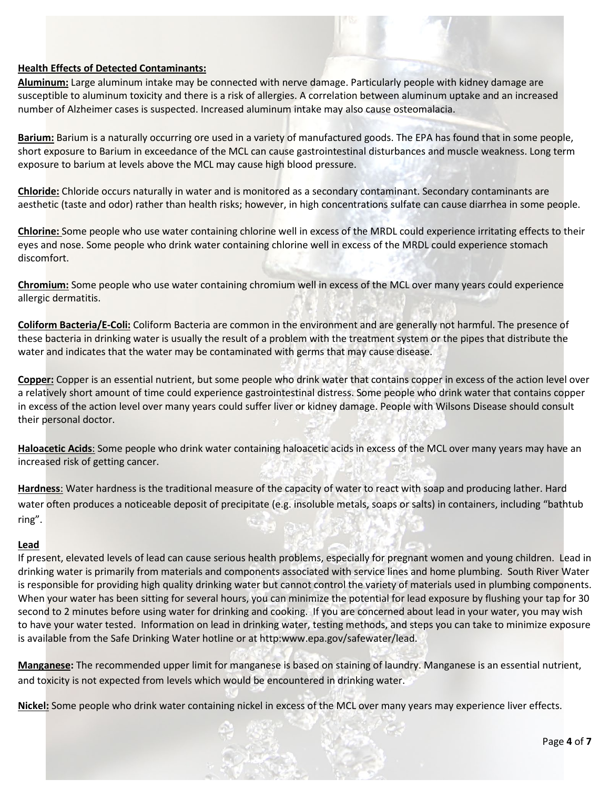# **Health Effects of Detected Contaminants:**

**Aluminum:** Large aluminum intake may be connected with nerve damage. Particularly people with kidney damage are susceptible to aluminum toxicity and there is a risk of allergies. A correlation between aluminum uptake and an increased number of Alzheimer cases is suspected. Increased aluminum intake may also cause osteomalacia.

**Barium:** Barium is a naturally occurring ore used in a variety of manufactured goods. The EPA has found that in some people, short exposure to Barium in exceedance of the MCL can cause gastrointestinal disturbances and muscle weakness. Long term exposure to barium at levels above the MCL may cause high blood pressure.

**Chloride:** Chloride occurs naturally in water and is monitored as a secondary contaminant. Secondary contaminants are aesthetic (taste and odor) rather than health risks; however, in high concentrations sulfate can cause diarrhea in some people.

**Chlorine:** Some people who use water containing chlorine well in excess of the MRDL could experience irritating effects to their eyes and nose. Some people who drink water containing chlorine well in excess of the MRDL could experience stomach discomfort.

**Chromium:** Some people who use water containing chromium well in excess of the MCL over many years could experience allergic dermatitis.

**Coliform Bacteria/E-Coli:** Coliform Bacteria are common in the environment and are generally not harmful. The presence of these bacteria in drinking water is usually the result of a problem with the treatment system or the pipes that distribute the water and indicates that the water may be contaminated with germs that may cause disease.

**Copper:** Copper is an essential nutrient, but some people who drink water that contains copper in excess of the action level over a relatively short amount of time could experience gastrointestinal distress. Some people who drink water that contains copper in excess of the action level over many years could suffer liver or kidney damage. People with Wilsons Disease should consult their personal doctor.

**Haloacetic Acids**: Some people who drink water containing haloacetic acids in excess of the MCL over many years may have an increased risk of getting cancer.

**Hardness**: Water hardness is the traditional measure of the capacity of water to react with soap and producing lather. Hard water often produces a noticeable deposit of precipitate (e.g. insoluble metals, soaps or salts) in containers, including "bathtub ring".

# **Lead**

If present, elevated levels of lead can cause serious health problems, especially for pregnant women and young children. Lead in drinking water is primarily from materials and components associated with service lines and home plumbing. South River Water is responsible for providing high quality drinking water but cannot control the variety of materials used in plumbing components. When your water has been sitting for several hours, you can minimize the potential for lead exposure by flushing your tap for 30 second to 2 minutes before using water for drinking and cooking. If you are concerned about lead in your water, you may wish to have your water tested. Information on lead in drinking water, testing methods, and steps you can take to minimize exposure is available from the Safe Drinking Water hotline or at http:www.epa.gov/safewater/lead.

**Manganese:** The recommended upper limit for manganese is based on staining of laundry. Manganese is an essential nutrient, and toxicity is not expected from levels which would be encountered in drinking water.

**Nickel:** Some people who drink water containing nickel in excess of the MCL over many years may experience liver effects.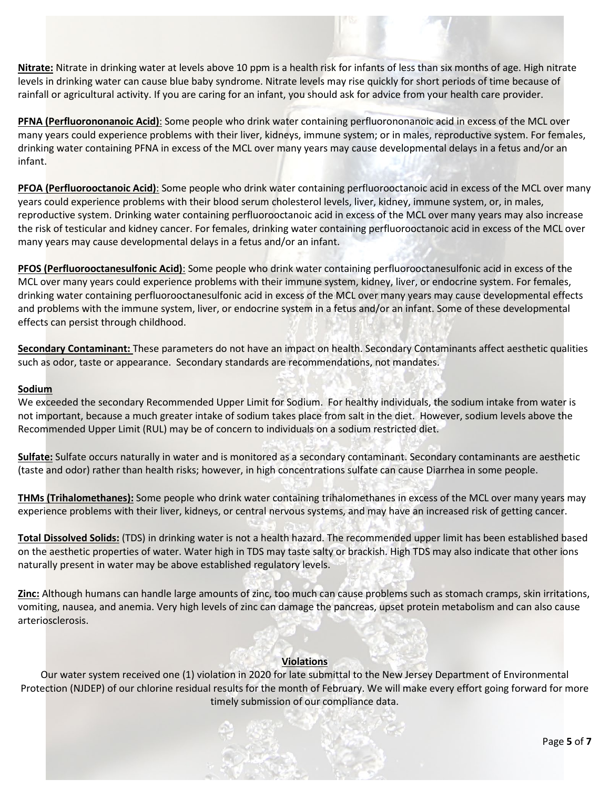**Nitrate:** Nitrate in drinking water at levels above 10 ppm is a health risk for infants of less than six months of age. High nitrate levels in drinking water can cause blue baby syndrome. Nitrate levels may rise quickly for short periods of time because of rainfall or agricultural activity. If you are caring for an infant, you should ask for advice from your health care provider.

**PFNA (Perfluorononanoic Acid)**: Some people who drink water containing perfluorononanoic acid in excess of the MCL over many years could experience problems with their liver, kidneys, immune system; or in males, reproductive system. For females, drinking water containing PFNA in excess of the MCL over many years may cause developmental delays in a fetus and/or an infant.

**PFOA (Perfluorooctanoic Acid)**: Some people who drink water containing perfluorooctanoic acid in excess of the MCL over many years could experience problems with their blood serum cholesterol levels, liver, kidney, immune system, or, in males, reproductive system. Drinking water containing perfluorooctanoic acid in excess of the MCL over many years may also increase the risk of testicular and kidney cancer. For females, drinking water containing perfluorooctanoic acid in excess of the MCL over many years may cause developmental delays in a fetus and/or an infant.

**PFOS (Perfluorooctanesulfonic Acid)**: Some people who drink water containing perfluorooctanesulfonic acid in excess of the MCL over many years could experience problems with their immune system, kidney, liver, or endocrine system. For females, drinking water containing perfluorooctanesulfonic acid in excess of the MCL over many years may cause developmental effects and problems with the immune system, liver, or endocrine system in a fetus and/or an infant. Some of these developmental effects can persist through childhood.

**Secondary Contaminant:** These parameters do not have an impact on health. Secondary Contaminants affect aesthetic qualities such as odor, taste or appearance. Secondary standards are recommendations, not mandates.

### **Sodium**

We exceeded the secondary Recommended Upper Limit for Sodium. For healthy individuals, the sodium intake from water is not important, because a much greater intake of sodium takes place from salt in the diet. However, sodium levels above the Recommended Upper Limit (RUL) may be of concern to individuals on a sodium restricted diet.

**Sulfate:** Sulfate occurs naturally in water and is monitored as a secondary contaminant. Secondary contaminants are aesthetic (taste and odor) rather than health risks; however, in high concentrations sulfate can cause Diarrhea in some people.

**THMs (Trihalomethanes):** Some people who drink water containing trihalomethanes in excess of the MCL over many years may experience problems with their liver, kidneys, or central nervous systems, and may have an increased risk of getting cancer.

**Total Dissolved Solids:** (TDS) in drinking water is not a health hazard. The recommended upper limit has been established based on the aesthetic properties of water. Water high in TDS may taste salty or brackish. High TDS may also indicate that other ions naturally present in water may be above established regulatory levels.

**Zinc:** Although humans can handle large amounts of zinc, too much can cause problems such as stomach cramps, skin irritations, vomiting, nausea, and anemia. Very high levels of zinc can damage the pancreas, upset protein metabolism and can also cause arteriosclerosis.

# **Violations**

Our water system received one (1) violation in 2020 for late submittal to the New Jersey Department of Environmental Protection (NJDEP) of our chlorine residual results for the month of February. We will make every effort going forward for more timely submission of our compliance data.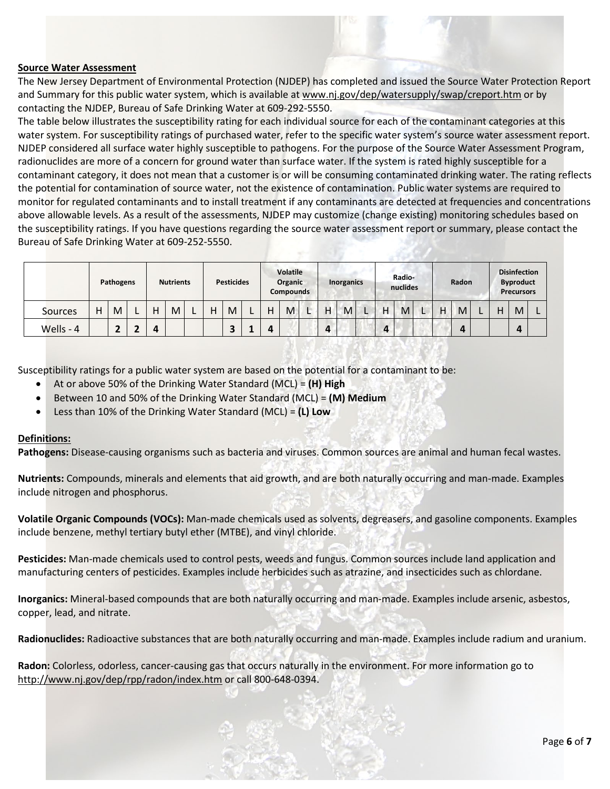

### **Source Water Assessment**

The New Jersey Department of Environmental Protection (NJDEP) has completed and issued the Source Water Protection Report and Summary for this public water system, which is available at www.nj.gov/dep/watersupply/swap/creport.htm or by contacting the NJDEP, Bureau of Safe Drinking Water at 609-292-5550.

The table below illustrates the susceptibility rating for each individual source for each of the contaminant categories at this water system. For susceptibility ratings of purchased water, refer to the specific water system's source water assessment report. NJDEP considered all surface water highly susceptible to pathogens. For the purpose of the Source Water Assessment Program, radionuclides are more of a concern for ground water than surface water. If the system is rated highly susceptible for a contaminant category, it does not mean that a customer is or will be consuming contaminated drinking water. The rating reflects the potential for contamination of source water, not the existence of contamination. Public water systems are required to monitor for regulated contaminants and to install treatment if any contaminants are detected at frequencies and concentrations above allowable levels. As a result of the assessments, NJDEP may customize (change existing) monitoring schedules based on the susceptibility ratings. If you have questions regarding the source water assessment report or summary, please contact the Bureau of Safe Drinking Water at 609-252-5550.

|                | Pathogens |   | <b>Nutrients</b> |   | <b>Pesticides</b> |  | <b>Volatile</b><br>Organic<br><b>Compounds</b> |   |  | Inorganics |   |  | Radio-<br>nuclides |   |  |   | Radon |  | <b>Disinfection</b><br><b>Byproduct</b><br><b>Precursors</b> |    |  |   |   |  |
|----------------|-----------|---|------------------|---|-------------------|--|------------------------------------------------|---|--|------------|---|--|--------------------|---|--|---|-------|--|--------------------------------------------------------------|----|--|---|---|--|
| <b>Sources</b> | н         | M |                  | н | M                 |  | Н                                              | M |  | Н          | M |  | н                  | M |  | Н | M     |  | н                                                            | M  |  | н | M |  |
| Wells - 4      |           |   |                  | 4 |                   |  |                                                |   |  | "          |   |  | $\bf{a}$           |   |  | 4 |       |  |                                                              | ,, |  |   | 4 |  |

Susceptibility ratings for a public water system are based on the potential for a contaminant to be:

- At or above 50% of the Drinking Water Standard (MCL) = **(H) High**
- Between 10 and 50% of the Drinking Water Standard (MCL) = **(M) Medium**
- Less than 10% of the Drinking Water Standard (MCL) = **(L) Low**

# **Definitions:**

**Pathogens:** Disease-causing organisms such as bacteria and viruses. Common sources are animal and human fecal wastes.

**Nutrients:** Compounds, minerals and elements that aid growth, and are both naturally occurring and man-made. Examples include nitrogen and phosphorus.

**Volatile Organic Compounds (VOCs):** Man-made chemicals used as solvents, degreasers, and gasoline components. Examples include benzene, methyl tertiary butyl ether (MTBE), and vinyl chloride.

**Pesticides:** Man-made chemicals used to control pests, weeds and fungus. Common sources include land application and manufacturing centers of pesticides. Examples include herbicides such as atrazine, and insecticides such as chlordane.

**Inorganics:** Mineral-based compounds that are both naturally occurring and man-made. Examples include arsenic, asbestos, copper, lead, and nitrate.

**Radionuclides:** Radioactive substances that are both naturally occurring and man-made. Examples include radium and uranium.

**Radon:** Colorless, odorless, cancer-causing gas that occurs naturally in the environment. For more information go to [http://www.nj.gov/dep/rpp/radon/index.htm](http://www.nj.gov/dep/rpp/radon/index.htm%20or%20call%20800-648-0394) or call 800-648-0394.